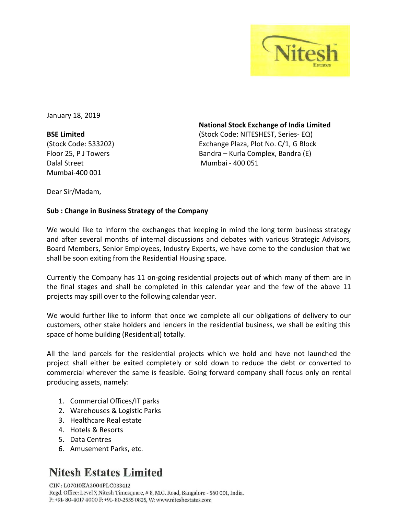

January 18, 2019

**BSE Limited** (Stock Code: 533202) Floor 25, P J Towers Dalal Street Mumbai-400 001

**National Stock Exchange of India Limited** (Stock Code: NITESHEST, Series- EQ) Exchange Plaza, Plot No. C/1, G Block Bandra – Kurla Complex, Bandra (E) Mumbai - 400 051

Dear Sir/Madam,

## **Sub : Change in Business Strategy of the Company**

We would like to inform the exchanges that keeping in mind the long term business strategy and after several months of internal discussions and debates with various Strategic Advisors, Board Members, Senior Employees, Industry Experts, we have come to the conclusion that we shall be soon exiting from the Residential Housing space.

Currently the Company has 11 on-going residential projects out of which many of them are in the final stages and shall be completed in this calendar year and the few of the above 11 projects may spill over to the following calendar year.

We would further like to inform that once we complete all our obligations of delivery to our customers, other stake holders and lenders in the residential business, we shall be exiting this space of home building (Residential) totally.

All the land parcels for the residential projects which we hold and have not launched the project shall either be exited completely or sold down to reduce the debt or converted to commercial wherever the same is feasible. Going forward company shall focus only on rental producing assets, namely:

- 1. Commercial Offices/IT parks
- 2. Warehouses & Logistic Parks
- 3. Healthcare Real estate
- 4. Hotels & Resorts
- 5. Data Centres
- 6. Amusement Parks, etc.

## **Nitesh Estates Limited**

CIN: L07010KA2004PLC033412 Regd. Office: Level 7, Nitesh Timesquare, #8, M.G. Road, Bangalore - 560 001, India. P: +91-80-4017 4000 F: +91-80-2555 0825, W: www.niteshestates.com